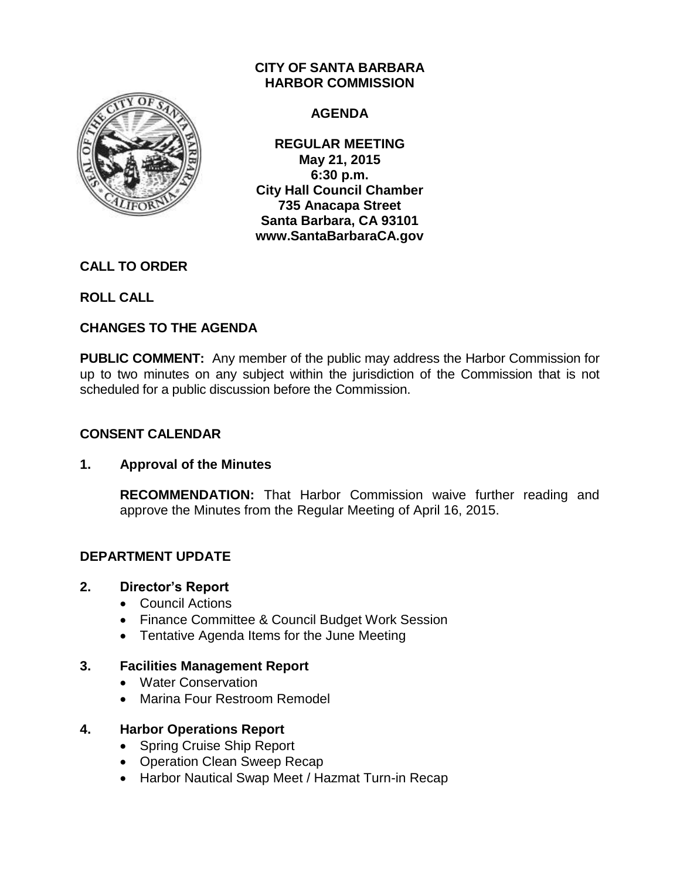

# **CITY OF SANTA BARBARA HARBOR COMMISSION**

# **AGENDA**

**REGULAR MEETING May 21, 2015 6:30 p.m. City Hall Council Chamber 735 Anacapa Street Santa Barbara, CA 93101 www.SantaBarbaraCA.gov**

# **CALL TO ORDER**

**ROLL CALL**

# **CHANGES TO THE AGENDA**

**PUBLIC COMMENT:** Any member of the public may address the Harbor Commission for up to two minutes on any subject within the jurisdiction of the Commission that is not scheduled for a public discussion before the Commission.

# **CONSENT CALENDAR**

# **1. Approval of the Minutes**

**RECOMMENDATION:** That Harbor Commission waive further reading and approve the Minutes from the Regular Meeting of April 16, 2015.

# **DEPARTMENT UPDATE**

# **2. Director's Report**

- Council Actions
- Finance Committee & Council Budget Work Session
- Tentative Agenda Items for the June Meeting

# **3. Facilities Management Report**

- Water Conservation
- Marina Four Restroom Remodel

# **4. Harbor Operations Report**

- Spring Cruise Ship Report
- Operation Clean Sweep Recap
- Harbor Nautical Swap Meet / Hazmat Turn-in Recap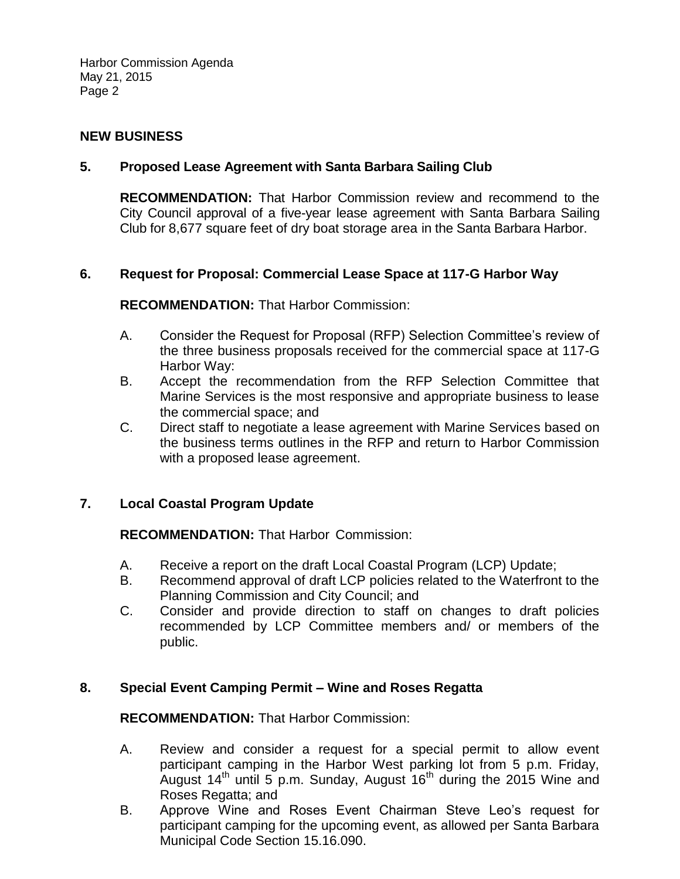Harbor Commission Agenda May 21, 2015 Page 2

### **NEW BUSINESS**

### **5. Proposed Lease Agreement with Santa Barbara Sailing Club**

**RECOMMENDATION:** That Harbor Commission review and recommend to the City Council approval of a five-year lease agreement with Santa Barbara Sailing Club for 8,677 square feet of dry boat storage area in the Santa Barbara Harbor.

#### **6. Request for Proposal: Commercial Lease Space at 117-G Harbor Way**

#### **RECOMMENDATION:** That Harbor Commission:

- A. Consider the Request for Proposal (RFP) Selection Committee's review of the three business proposals received for the commercial space at 117-G Harbor Way:
- B. Accept the recommendation from the RFP Selection Committee that Marine Services is the most responsive and appropriate business to lease the commercial space; and
- C. Direct staff to negotiate a lease agreement with Marine Services based on the business terms outlines in the RFP and return to Harbor Commission with a proposed lease agreement.

#### **7. Local Coastal Program Update**

**RECOMMENDATION:** That Harbor Commission:

- A. Receive a report on the draft Local Coastal Program (LCP) Update;
- B. Recommend approval of draft LCP policies related to the Waterfront to the Planning Commission and City Council; and
- C. Consider and provide direction to staff on changes to draft policies recommended by LCP Committee members and/ or members of the public.

#### **8. Special Event Camping Permit – Wine and Roses Regatta**

**RECOMMENDATION:** That Harbor Commission:

- A. Review and consider a request for a special permit to allow event participant camping in the Harbor West parking lot from 5 p.m. Friday, August  $14<sup>th</sup>$  until 5 p.m. Sunday, August  $16<sup>th</sup>$  during the 2015 Wine and Roses Regatta; and
- B. Approve Wine and Roses Event Chairman Steve Leo's request for participant camping for the upcoming event, as allowed per Santa Barbara Municipal Code Section 15.16.090.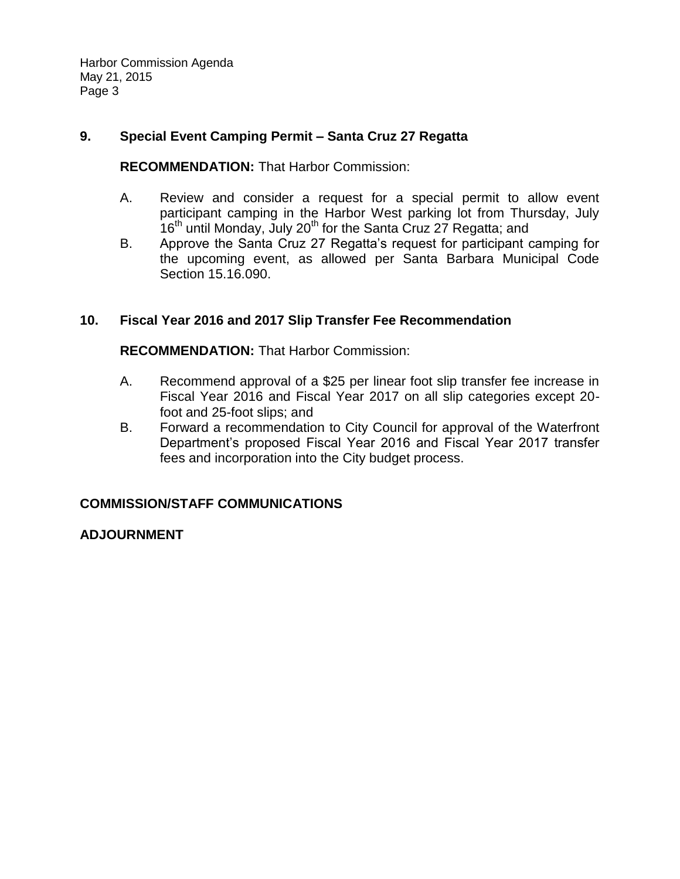Harbor Commission Agenda May 21, 2015 Page 3

# **9. Special Event Camping Permit – Santa Cruz 27 Regatta**

**RECOMMENDATION:** That Harbor Commission:

- A. Review and consider a request for a special permit to allow event participant camping in the Harbor West parking lot from Thursday, July  $16<sup>th</sup>$  until Monday, July 20<sup>th</sup> for the Santa Cruz 27 Regatta; and
- B. Approve the Santa Cruz 27 Regatta's request for participant camping for the upcoming event, as allowed per Santa Barbara Municipal Code Section 15.16.090.

# **10. Fiscal Year 2016 and 2017 Slip Transfer Fee Recommendation**

**RECOMMENDATION:** That Harbor Commission:

- A. Recommend approval of a \$25 per linear foot slip transfer fee increase in Fiscal Year 2016 and Fiscal Year 2017 on all slip categories except 20 foot and 25-foot slips; and
- B. Forward a recommendation to City Council for approval of the Waterfront Department's proposed Fiscal Year 2016 and Fiscal Year 2017 transfer fees and incorporation into the City budget process.

# **COMMISSION/STAFF COMMUNICATIONS**

# **ADJOURNMENT**